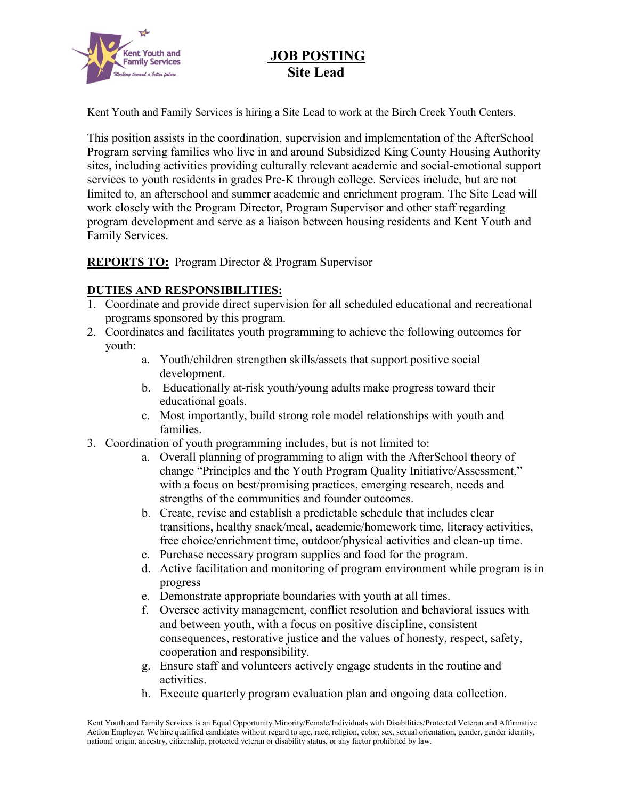

# **JOB POSTING Site Lead**

Kent Youth and Family Services is hiring a Site Lead to work at the Birch Creek Youth Centers.

This position assists in the coordination, supervision and implementation of the AfterSchool Program serving families who live in and around Subsidized King County Housing Authority sites, including activities providing culturally relevant academic and social-emotional support services to youth residents in grades Pre-K through college. Services include, but are not limited to, an afterschool and summer academic and enrichment program. The Site Lead will work closely with the Program Director, Program Supervisor and other staff regarding program development and serve as a liaison between housing residents and Kent Youth and Family Services.

**REPORTS TO:** Program Director & Program Supervisor

### **DUTIES AND RESPONSIBILITIES:**

- 1. Coordinate and provide direct supervision for all scheduled educational and recreational programs sponsored by this program.
- 2. Coordinates and facilitates youth programming to achieve the following outcomes for youth:
	- a. Youth/children strengthen skills/assets that support positive social development.
	- b. Educationally at-risk youth/young adults make progress toward their educational goals.
	- c. Most importantly, build strong role model relationships with youth and families.
- 3. Coordination of youth programming includes, but is not limited to:
	- a. Overall planning of programming to align with the AfterSchool theory of change "Principles and the Youth Program Quality Initiative/Assessment," with a focus on best/promising practices, emerging research, needs and strengths of the communities and founder outcomes.
	- b. Create, revise and establish a predictable schedule that includes clear transitions, healthy snack/meal, academic/homework time, literacy activities, free choice/enrichment time, outdoor/physical activities and clean-up time.
	- c. Purchase necessary program supplies and food for the program.
	- d. Active facilitation and monitoring of program environment while program is in progress
	- e. Demonstrate appropriate boundaries with youth at all times.
	- f. Oversee activity management, conflict resolution and behavioral issues with and between youth, with a focus on positive discipline, consistent consequences, restorative justice and the values of honesty, respect, safety, cooperation and responsibility.
	- g. Ensure staff and volunteers actively engage students in the routine and activities.
	- h. Execute quarterly program evaluation plan and ongoing data collection.

Kent Youth and Family Services is an Equal Opportunity Minority/Female/Individuals with Disabilities/Protected Veteran and Affirmative Action Employer. We hire qualified candidates without regard to age, race, religion, color, sex, sexual orientation, gender, gender identity, national origin, ancestry, citizenship, protected veteran or disability status, or any factor prohibited by law.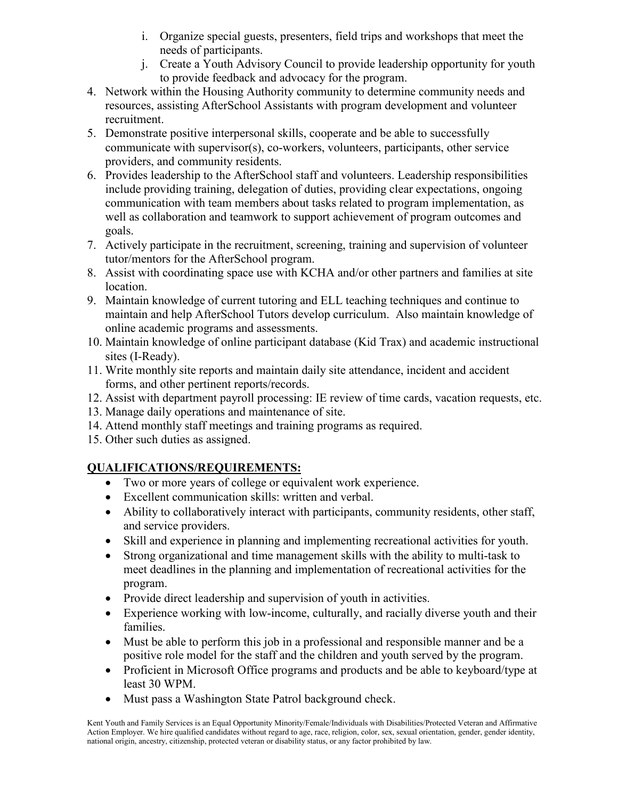- i. Organize special guests, presenters, field trips and workshops that meet the needs of participants.
- j. Create a Youth Advisory Council to provide leadership opportunity for youth to provide feedback and advocacy for the program.
- 4. Network within the Housing Authority community to determine community needs and resources, assisting AfterSchool Assistants with program development and volunteer recruitment.
- 5. Demonstrate positive interpersonal skills, cooperate and be able to successfully communicate with supervisor(s), co-workers, volunteers, participants, other service providers, and community residents.
- 6. Provides leadership to the AfterSchool staff and volunteers. Leadership responsibilities include providing training, delegation of duties, providing clear expectations, ongoing communication with team members about tasks related to program implementation, as well as collaboration and teamwork to support achievement of program outcomes and goals.
- 7. Actively participate in the recruitment, screening, training and supervision of volunteer tutor/mentors for the AfterSchool program.
- 8. Assist with coordinating space use with KCHA and/or other partners and families at site location.
- 9. Maintain knowledge of current tutoring and ELL teaching techniques and continue to maintain and help AfterSchool Tutors develop curriculum. Also maintain knowledge of online academic programs and assessments.
- 10. Maintain knowledge of online participant database (Kid Trax) and academic instructional sites (I-Ready).
- 11. Write monthly site reports and maintain daily site attendance, incident and accident forms, and other pertinent reports/records.
- 12. Assist with department payroll processing: IE review of time cards, vacation requests, etc.
- 13. Manage daily operations and maintenance of site.
- 14. Attend monthly staff meetings and training programs as required.
- 15. Other such duties as assigned.

## **QUALIFICATIONS/REQUIREMENTS:**

- Two or more years of college or equivalent work experience.
- Excellent communication skills: written and verbal.
- Ability to collaboratively interact with participants, community residents, other staff, and service providers.
- Skill and experience in planning and implementing recreational activities for youth.
- Strong organizational and time management skills with the ability to multi-task to meet deadlines in the planning and implementation of recreational activities for the program.
- Provide direct leadership and supervision of youth in activities.
- Experience working with low-income, culturally, and racially diverse youth and their families.
- Must be able to perform this job in a professional and responsible manner and be a positive role model for the staff and the children and youth served by the program.
- Proficient in Microsoft Office programs and products and be able to keyboard/type at least 30 WPM.
- Must pass a Washington State Patrol background check.

Kent Youth and Family Services is an Equal Opportunity Minority/Female/Individuals with Disabilities/Protected Veteran and Affirmative Action Employer. We hire qualified candidates without regard to age, race, religion, color, sex, sexual orientation, gender, gender identity, national origin, ancestry, citizenship, protected veteran or disability status, or any factor prohibited by law.